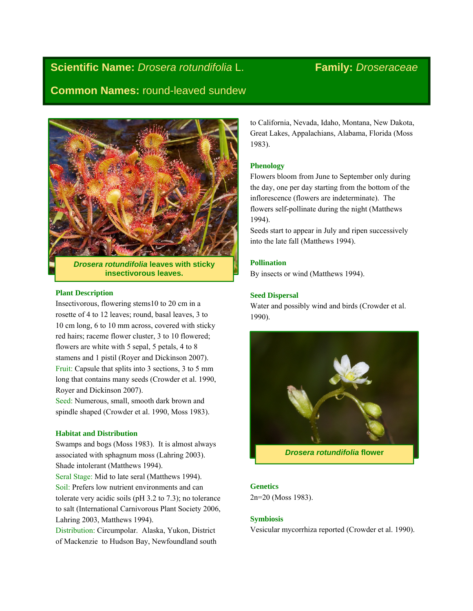# **Scientific Name:** *Drosera rotundifolia* L. **Family:** *Droseraceae*

## **Common Names:** round-leaved sundew



*Drosera rotundifolia* **leaves with sticky insectivorous leaves.** 

#### **Plant Description**

Insectivorous, flowering stems10 to 20 cm in a rosette of 4 to 12 leaves; round, basal leaves, 3 to 10 cm long, 6 to 10 mm across, covered with sticky red hairs; raceme flower cluster, 3 to 10 flowered; flowers are white with 5 sepal, 5 petals, 4 to 8 stamens and 1 pistil (Royer and Dickinson 2007). Fruit: Capsule that splits into 3 sections, 3 to 5 mm long that contains many seeds (Crowder et al. 1990, Royer and Dickinson 2007).

Seed: Numerous, small, smooth dark brown and spindle shaped (Crowder et al. 1990, Moss 1983).

#### **Habitat and Distribution**

Swamps and bogs (Moss 1983). It is almost always associated with sphagnum moss (Lahring 2003). Shade intolerant (Matthews 1994).

Seral Stage: Mid to late seral (Matthews 1994). Soil: Prefers low nutrient environments and can tolerate very acidic soils (pH 3.2 to 7.3); no tolerance to salt (International Carnivorous Plant Society 2006, Lahring 2003, Matthews 1994).

Distribution: Circumpolar. Alaska, Yukon, District of Mackenzie to Hudson Bay, Newfoundland south to California, Nevada, Idaho, Montana, New Dakota, Great Lakes, Appalachians, Alabama, Florida (Moss 1983).

#### **Phenology**

Flowers bloom from June to September only during the day, one per day starting from the bottom of the inflorescence (flowers are indeterminate). The flowers self-pollinate during the night (Matthews 1994).

Seeds start to appear in July and ripen successively into the late fall (Matthews 1994).

#### **Pollination**

By insects or wind (Matthews 1994).

#### **Seed Dispersal**

Water and possibly wind and birds (Crowder et al. 1990).



*Drosera rotundifolia* **flower** 

### **Genetics**

2n=20 (Moss 1983).

#### **Symbiosis**

Vesicular mycorrhiza reported (Crowder et al. 1990).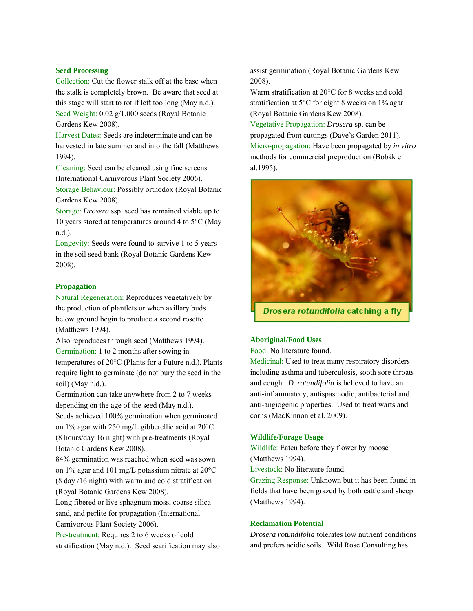#### **Seed Processing**

Collection: Cut the flower stalk off at the base when the stalk is completely brown. Be aware that seed at this stage will start to rot if left too long (May n.d.). Seed Weight: 0.02 g/1,000 seeds (Royal Botanic Gardens Kew 2008).

Harvest Dates: Seeds are indeterminate and can be harvested in late summer and into the fall (Matthews 1994).

Cleaning: Seed can be cleaned using fine screens (International Carnivorous Plant Society 2006).

Storage Behaviour: Possibly orthodox (Royal Botanic Gardens Kew 2008).

Storage: *Drosera* ssp. seed has remained viable up to 10 years stored at temperatures around 4 to 5°C (May n.d.).

Longevity: Seeds were found to survive 1 to 5 years in the soil seed bank (Royal Botanic Gardens Kew 2008).

#### **Propagation**

Natural Regeneration: Reproduces vegetatively by the production of plantlets or when axillary buds below ground begin to produce a second rosette (Matthews 1994).

Also reproduces through seed (Matthews 1994). Germination: 1 to 2 months after sowing in temperatures of 20°C (Plants for a Future n.d.). Plants require light to germinate (do not bury the seed in the soil) (May n.d.).

Germination can take anywhere from 2 to 7 weeks depending on the age of the seed (May n.d.). Seeds achieved 100% germination when germinated on 1% agar with 250 mg/L gibberellic acid at 20°C (8 hours/day 16 night) with pre-treatments (Royal Botanic Gardens Kew 2008).

84% germination was reached when seed was sown on 1% agar and 101 mg/L potassium nitrate at 20°C (8 day /16 night) with warm and cold stratification (Royal Botanic Gardens Kew 2008).

Long fibered or live sphagnum moss, coarse silica sand, and perlite for propagation (International Carnivorous Plant Society 2006).

Pre-treatment: Requires 2 to 6 weeks of cold stratification (May n.d.). Seed scarification may also

assist germination (Royal Botanic Gardens Kew 2008).

Warm stratification at 20°C for 8 weeks and cold stratification at 5°C for eight 8 weeks on 1% agar (Royal Botanic Gardens Kew 2008).

Vegetative Propagation: *Drosera* sp. can be propagated from cuttings (Dave's Garden 2011). Micro-propagation: Have been propagated by *in vitro* methods for commercial preproduction (Bobák et. al.1995).



Drosera rotundifolia catching a fly

#### **Aboriginal/Food Uses**

Food: No literature found.

Medicinal: Used to treat many respiratory disorders including asthma and tuberculosis, sooth sore throats and cough. *D. rotundifolia* is believed to have an anti-inflammatory, antispasmodic, antibacterial and anti-angiogenic properties. Used to treat warts and corns (MacKinnon et al. 2009).

#### **Wildlife/Forage Usage**

Wildlife: Eaten before they flower by moose (Matthews 1994).

Livestock: No literature found.

Grazing Response: Unknown but it has been found in fields that have been grazed by both cattle and sheep (Matthews 1994).

#### **Reclamation Potential**

*Drosera rotundifolia* tolerates low nutrient conditions and prefers acidic soils. Wild Rose Consulting has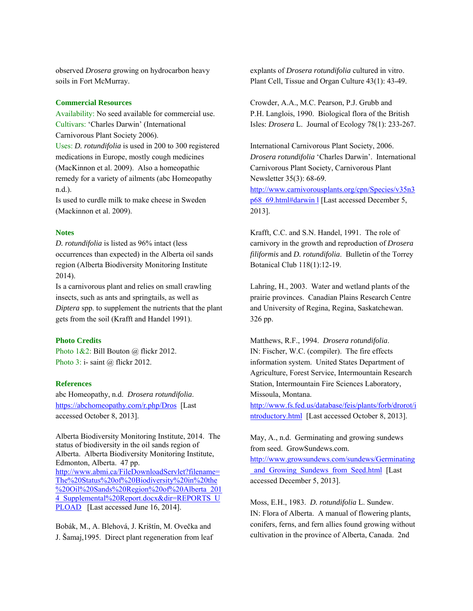observed *Drosera* growing on hydrocarbon heavy soils in Fort McMurray.

#### **Commercial Resources**

Availability: No seed available for commercial use. Cultivars: 'Charles Darwin' (International Carnivorous Plant Society 2006). Uses: *D. rotundifolia* is used in 200 to 300 registered medications in Europe, mostly cough medicines (MacKinnon et al. 2009). Also a homeopathic remedy for a variety of ailments (abc Homeopathy n.d.).

Is used to curdle milk to make cheese in Sweden (Mackinnon et al. 2009).

#### **Notes**

*D. rotundifolia* is listed as 96% intact (less occurrences than expected) in the Alberta oil sands region (Alberta Biodiversity Monitoring Institute 2014).

Is a carnivorous plant and relies on small crawling insects, such as ants and springtails, as well as *Diptera* spp. to supplement the nutrients that the plant gets from the soil (Krafft and Handel 1991).

#### **Photo Credits**

Photo 1&2: Bill Bouton @ flickr 2012. Photo 3: i- saint @ flickr 2012.

#### **References**

abc Homeopathy, n.d. *Drosera rotundifolia*. https://abchomeopathy.com/r.php/Dros [Last accessed October 8, 2013].

Alberta Biodiversity Monitoring Institute, 2014. The status of biodiversity in the oil sands region of Alberta. Alberta Biodiversity Monitoring Institute, Edmonton, Alberta. 47 pp. http://www.abmi.ca/FileDownloadServlet?filename= The%20Status%20of%20Biodiversity%20in%20the %20Oil%20Sands%20Region%20of%20Alberta\_201 4 Supplemental%20Report.docx&dir=REPORTS\_U PLOAD [Last accessed June 16, 2014].

Bobák, M., A. Blehová, J. Krištín, M. Ovečka and J. Šamaj,1995. Direct plant regeneration from leaf explants of *Drosera rotundifolia* cultured in vitro. Plant Cell, Tissue and Organ Culture 43(1): 43-49.

Crowder, A.A., M.C. Pearson, P.J. Grubb and P.H. Langlois, 1990. Biological flora of the British Isles: *Drosera* L. Journal of Ecology 78(1): 233-267.

International Carnivorous Plant Society, 2006. *Drosera rotundifolia* 'Charles Darwin'. International Carnivorous Plant Society, Carnivorous Plant Newsletter 35(3): 68-69.

http://www.carnivorousplants.org/cpn/Species/v35n3 p68\_69.html#darwin l [Last accessed December 5, 2013].

Krafft, C.C. and S.N. Handel, 1991. The role of carnivory in the growth and reproduction of *Drosera filiformis* and *D. rotundifolia*. Bulletin of the Torrey Botanical Club 118(1):12-19.

Lahring, H., 2003. Water and wetland plants of the prairie provinces. Canadian Plains Research Centre and University of Regina, Regina, Saskatchewan. 326 pp.

Matthews, R.F., 1994. *Drosera rotundifolia*. IN: Fischer, W.C. (compiler). The fire effects information system. United States Department of Agriculture, Forest Service, Intermountain Research Station, Intermountain Fire Sciences Laboratory, Missoula, Montana.

http://www.fs.fed.us/database/feis/plants/forb/drorot/i ntroductory.html [Last accessed October 8, 2013].

May, A., n.d. Germinating and growing sundews from seed. GrowSundews.com.

http://www.growsundews.com/sundews/Germinating \_and\_Growing\_Sundews\_from\_Seed.html [Last accessed December 5, 2013].

Moss, E.H., 1983. *D. rotundifolia* L. Sundew. IN: Flora of Alberta. A manual of flowering plants, conifers, ferns, and fern allies found growing without cultivation in the province of Alberta, Canada. 2nd